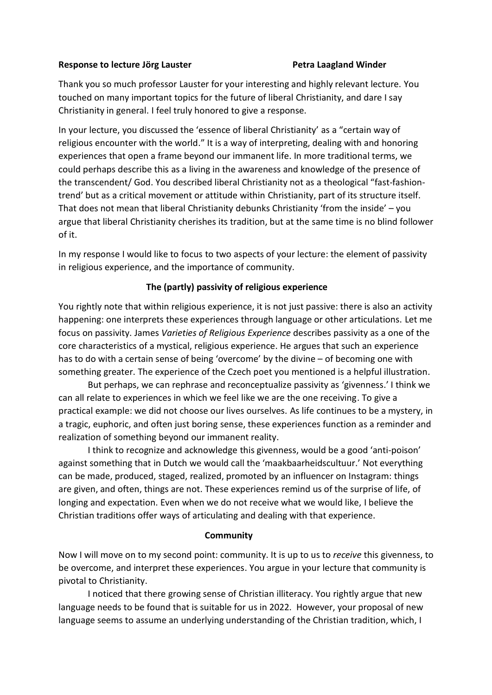## **Response to lecture Jörg Lauster Petra Laagland Winder**

Thank you so much professor Lauster for your interesting and highly relevant lecture. You touched on many important topics for the future of liberal Christianity, and dare I say Christianity in general. I feel truly honored to give a response.

In your lecture, you discussed the 'essence of liberal Christianity' as a "certain way of religious encounter with the world." It is a way of interpreting, dealing with and honoring experiences that open a frame beyond our immanent life. In more traditional terms, we could perhaps describe this as a living in the awareness and knowledge of the presence of the transcendent/ God. You described liberal Christianity not as a theological "fast-fashiontrend' but as a critical movement or attitude within Christianity, part of its structure itself. That does not mean that liberal Christianity debunks Christianity 'from the inside'  $-$  you argue that liberal Christianity cherishes its tradition, but at the same time is no blind follower of it.

In my response I would like to focus to two aspects of your lecture: the element of passivity in religious experience, and the importance of community.

## **The (partly) passivity of religious experience**

You rightly note that within religious experience, it is not just passive: there is also an activity happening: one interprets these experiences through language or other articulations. Let me focus on passivity. James *Varieties of Religious Experience* describes passivity as a one of the core characteristics of a mystical, religious experience. He argues that such an experience has to do with a certain sense of being 'overcome' by the divine – of becoming one with something greater. The experience of the Czech poet you mentioned is a helpful illustration.

But perhaps, we can rephrase and reconceptualize passivity as 'givenness.' I think we can all relate to experiences in which we feel like we are the one receiving. To give a practical example: we did not choose our lives ourselves. As life continues to be a mystery, in a tragic, euphoric, and often just boring sense, these experiences function as a reminder and realization of something beyond our immanent reality.

I think to recognize and acknowledge this givenness, would be a good 'anti-poison' against something that in Dutch we would call the 'maakbaarheidscultuur.' Not everything can be made, produced, staged, realized, promoted by an influencer on Instagram: things are given, and often, things are not. These experiences remind us of the surprise of life, of longing and expectation. Even when we do not receive what we would like, I believe the Christian traditions offer ways of articulating and dealing with that experience.

## **Community**

Now I will move on to my second point: community. It is up to us to *receive* this givenness, to be overcome, and interpret these experiences. You argue in your lecture that community is pivotal to Christianity.

I noticed that there growing sense of Christian illiteracy. You rightly argue that new language needs to be found that is suitable for us in 2022. However, your proposal of new language seems to assume an underlying understanding of the Christian tradition, which, I